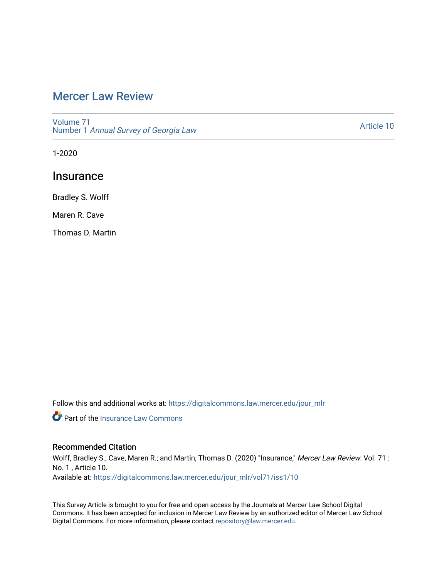# [Mercer Law Review](https://digitalcommons.law.mercer.edu/jour_mlr)

[Volume 71](https://digitalcommons.law.mercer.edu/jour_mlr/vol71) Number 1 [Annual Survey of Georgia Law](https://digitalcommons.law.mercer.edu/jour_mlr/vol71/iss1) 

[Article 10](https://digitalcommons.law.mercer.edu/jour_mlr/vol71/iss1/10) 

1-2020

## **Insurance**

Bradley S. Wolff

Maren R. Cave

Thomas D. Martin

Follow this and additional works at: [https://digitalcommons.law.mercer.edu/jour\\_mlr](https://digitalcommons.law.mercer.edu/jour_mlr?utm_source=digitalcommons.law.mercer.edu%2Fjour_mlr%2Fvol71%2Fiss1%2F10&utm_medium=PDF&utm_campaign=PDFCoverPages)

**P** Part of the [Insurance Law Commons](http://network.bepress.com/hgg/discipline/607?utm_source=digitalcommons.law.mercer.edu%2Fjour_mlr%2Fvol71%2Fiss1%2F10&utm_medium=PDF&utm_campaign=PDFCoverPages)

### Recommended Citation

Wolff, Bradley S.; Cave, Maren R.; and Martin, Thomas D. (2020) "Insurance," Mercer Law Review: Vol. 71 : No. 1 , Article 10. Available at: [https://digitalcommons.law.mercer.edu/jour\\_mlr/vol71/iss1/10](https://digitalcommons.law.mercer.edu/jour_mlr/vol71/iss1/10?utm_source=digitalcommons.law.mercer.edu%2Fjour_mlr%2Fvol71%2Fiss1%2F10&utm_medium=PDF&utm_campaign=PDFCoverPages) 

This Survey Article is brought to you for free and open access by the Journals at Mercer Law School Digital Commons. It has been accepted for inclusion in Mercer Law Review by an authorized editor of Mercer Law School Digital Commons. For more information, please contact [repository@law.mercer.edu](mailto:repository@law.mercer.edu).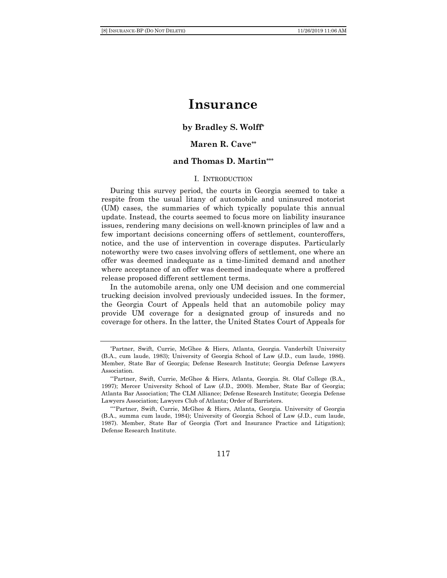## **Insurance**

### **by Bradley S. Wolff\***

## **Maren R. Cave\*\***

#### **and Thomas D. Martin\*\*\***

#### I. INTRODUCTION

During this survey period, the courts in Georgia seemed to take a respite from the usual litany of automobile and uninsured motorist (UM) cases, the summaries of which typically populate this annual update. Instead, the courts seemed to focus more on liability insurance issues, rendering many decisions on well-known principles of law and a few important decisions concerning offers of settlement, counteroffers, notice, and the use of intervention in coverage disputes. Particularly noteworthy were two cases involving offers of settlement, one where an offer was deemed inadequate as a time-limited demand and another where acceptance of an offer was deemed inadequate where a proffered release proposed different settlement terms.

In the automobile arena, only one UM decision and one commercial trucking decision involved previously undecided issues. In the former, the Georgia Court of Appeals held that an automobile policy may provide UM coverage for a designated group of insureds and no coverage for others. In the latter, the United States Court of Appeals for

#### 117

<sup>\*</sup>Partner, Swift, Currie, McGhee & Hiers, Atlanta, Georgia. Vanderbilt University (B.A., cum laude, 1983); University of Georgia School of Law (J.D., cum laude, 1986). Member, State Bar of Georgia; Defense Research Institute; Georgia Defense Lawyers Association.

<sup>\*\*</sup>Partner, Swift, Currie, McGhee & Hiers, Atlanta, Georgia. St. Olaf College (B.A., 1997); Mercer University School of Law (J.D., 2000). Member, State Bar of Georgia; Atlanta Bar Association; The CLM Alliance; Defense Research Institute; Georgia Defense Lawyers Association; Lawyers Club of Atlanta; Order of Barristers.

<sup>\*\*\*</sup>Partner, Swift, Currie, McGhee & Hiers, Atlanta, Georgia. University of Georgia (B.A., summa cum laude, 1984); University of Georgia School of Law (J.D., cum laude, 1987). Member, State Bar of Georgia (Tort and Insurance Practice and Litigation); Defense Research Institute.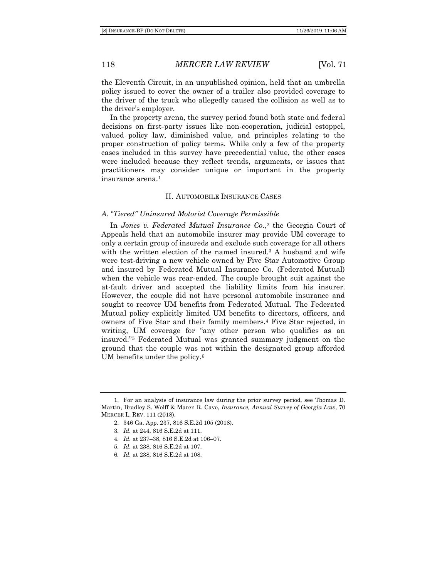the Eleventh Circuit, in an unpublished opinion, held that an umbrella policy issued to cover the owner of a trailer also provided coverage to the driver of the truck who allegedly caused the collision as well as to the driver's employer.

In the property arena, the survey period found both state and federal decisions on first-party issues like non-cooperation, judicial estoppel, valued policy law, diminished value, and principles relating to the proper construction of policy terms. While only a few of the property cases included in this survey have precedential value, the other cases were included because they reflect trends, arguments, or issues that practitioners may consider unique or important in the property insurance arena.<sup>1</sup>

#### II. AUTOMOBILE INSURANCE CASES

#### *A. "Tiered" Uninsured Motorist Coverage Permissible*

In *Jones v. Federated Mutual Insurance Co.*, <sup>2</sup> the Georgia Court of Appeals held that an automobile insurer may provide UM coverage to only a certain group of insureds and exclude such coverage for all others with the written election of the named insured.<sup>3</sup> A husband and wife were test-driving a new vehicle owned by Five Star Automotive Group and insured by Federated Mutual Insurance Co. (Federated Mutual) when the vehicle was rear-ended. The couple brought suit against the at-fault driver and accepted the liability limits from his insurer. However, the couple did not have personal automobile insurance and sought to recover UM benefits from Federated Mutual. The Federated Mutual policy explicitly limited UM benefits to directors, officers, and owners of Five Star and their family members.<sup>4</sup> Five Star rejected, in writing, UM coverage for "any other person who qualifies as an insured."<sup>5</sup> Federated Mutual was granted summary judgment on the ground that the couple was not within the designated group afforded UM benefits under the policy.<sup>6</sup>

- 5*. Id.* at 238, 816 S.E.2d at 107.
- 6*. Id.* at 238, 816 S.E.2d at 108.

<sup>1.</sup> For an analysis of insurance law during the prior survey period, see Thomas D. Martin, Bradley S. Wolff & Maren R. Cave, *Insurance, Annual Survey of Georgia Law*, 70 MERCER L. REV. 111 (2018).

<sup>2.</sup> 346 Ga. App. 237, 816 S.E.2d 105 (2018).

<sup>3</sup>*. Id.* at 244, 816 S.E.2d at 111.

<sup>4</sup>*. Id.* at 237–38, 816 S.E.2d at 106–07.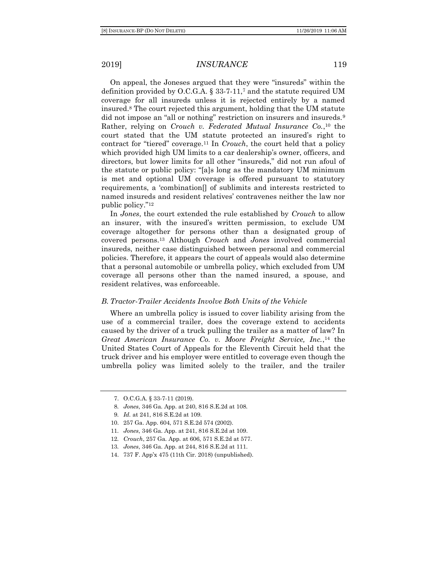On appeal, the Joneses argued that they were "insureds" within the definition provided by O.C.G.A.  $\S$  33-7-11,<sup>7</sup> and the statute required UM coverage for all insureds unless it is rejected entirely by a named insured.<sup>8</sup> The court rejected this argument, holding that the UM statute did not impose an "all or nothing" restriction on insurers and insureds.<sup>9</sup> Rather, relying on *Crouch v. Federated Mutual Insurance Co.*, <sup>10</sup> the court stated that the UM statute protected an insured's right to contract for "tiered" coverage.<sup>11</sup> In *Crouch*, the court held that a policy which provided high UM limits to a car dealership's owner, officers, and directors, but lower limits for all other "insureds," did not run afoul of the statute or public policy: "[a]s long as the mandatory UM minimum is met and optional UM coverage is offered pursuant to statutory requirements, a 'combination[] of sublimits and interests restricted to named insureds and resident relatives' contravenes neither the law nor public policy."<sup>12</sup>

In *Jones*, the court extended the rule established by *Crouch* to allow an insurer, with the insured's written permission, to exclude UM coverage altogether for persons other than a designated group of covered persons.<sup>13</sup> Although *Crouch* and *Jones* involved commercial insureds, neither case distinguished between personal and commercial policies. Therefore, it appears the court of appeals would also determine that a personal automobile or umbrella policy, which excluded from UM coverage all persons other than the named insured, a spouse, and resident relatives, was enforceable.

#### *B. Tractor-Trailer Accidents Involve Both Units of the Vehicle*

Where an umbrella policy is issued to cover liability arising from the use of a commercial trailer, does the coverage extend to accidents caused by the driver of a truck pulling the trailer as a matter of law? In *Great American Insurance Co. v. Moore Freight Service, Inc.*, <sup>14</sup> the United States Court of Appeals for the Eleventh Circuit held that the truck driver and his employer were entitled to coverage even though the umbrella policy was limited solely to the trailer, and the trailer

- 12*. Crouch*, 257 Ga. App. at 606, 571 S.E.2d at 577.
- 13*. Jones*, 346 Ga. App. at 244, 816 S.E.2d at 111.
- 14. 737 F. App'x 475 (11th Cir. 2018) (unpublished).

<sup>7.</sup> O.C.G.A. § 33-7-11 (2019).

<sup>8</sup>*. Jones*, 346 Ga. App. at 240, 816 S.E.2d at 108.

<sup>9</sup>*. Id.* at 241, 816 S.E.2d at 109.

<sup>10.</sup> 257 Ga. App. 604, 571 S.E.2d 574 (2002).

<sup>11</sup>*. Jones*, 346 Ga. App. at 241, 816 S.E.2d at 109.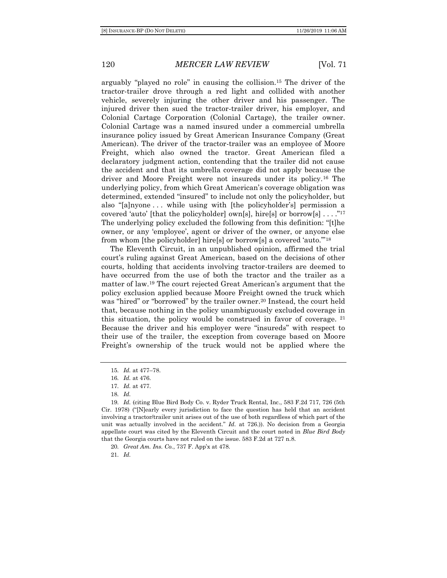arguably "played no role" in causing the collision.<sup>15</sup> The driver of the tractor*-*trailer drove through a red light and collided with another vehicle, severely injuring the other driver and his passenger. The injured driver then sued the tractor-trailer driver, his employer, and Colonial Cartage Corporation (Colonial Cartage), the trailer owner*.* Colonial Cartage was a named insured under a commercial umbrella insurance policy issued by Great American Insurance Company (Great American). The driver of the tractor-trailer was an employee of Moore Freight, which also owned the tractor. Great American filed a declaratory judgment action, contending that the trailer did not cause the accident and that its umbrella coverage did not apply because the driver and Moore Freight were not insureds under its policy.<sup>16</sup> The underlying policy, from which Great American's coverage obligation was determined, extended "insured" to include not only the policyholder, but also "[a]nyone . . . while using with [the policyholder's] permission a covered 'auto' [that the policyholder] own[s], hire[s] or borrow[s] ...."<sup>17</sup> The underlying policy excluded the following from this definition: "[t]he owner, or any 'employee', agent or driver of the owner, or anyone else from whom [the policyholder] hire[s] or borrow[s] a covered 'auto.'"<sup>18</sup>

The Eleventh Circuit, in an unpublished opinion, affirmed the trial court's ruling against Great American, based on the decisions of other courts, holding that accidents involving tractor-trailers are deemed to have occurred from the use of both the tractor and the trailer as a matter of law.<sup>19</sup> The court rejected Great American's argument that the policy exclusion applied because Moore Freight owned the truck which was "hired" or "borrowed" by the trailer owner.<sup>20</sup> Instead, the court held that, because nothing in the policy unambiguously excluded coverage in this situation, the policy would be construed in favor of coverage.  $21$ Because the driver and his employer were "insureds" with respect to their use of the trailer, the exception from coverage based on Moore Freight's ownership of the truck would not be applied where the

21*. Id.*

<sup>15</sup>*. Id.* at 477–78.

<sup>16</sup>*. Id.* at 476.

<sup>17</sup>*. Id.* at 477.

<sup>18</sup>*. Id.*

<sup>19</sup>*. Id.* (citing Blue Bird Body Co. v. Ryder Truck Rental, Inc., 583 F.2d 717, 726 (5th Cir. 1978) ("[N]early every jurisdiction to face the question has held that an accident involving a tractor/trailer unit arises out of the use of both regardless of which part of the unit was actually involved in the accident." *Id.* at 726.)). No decision from a Georgia appellate court was cited by the Eleventh Circuit and the court noted in *Blue Bird Body*  that the Georgia courts have not ruled on the issue. 583 F.2d at 727 n.8.

<sup>20</sup>*. Great Am. Ins. Co.*, 737 F. App'x at 478.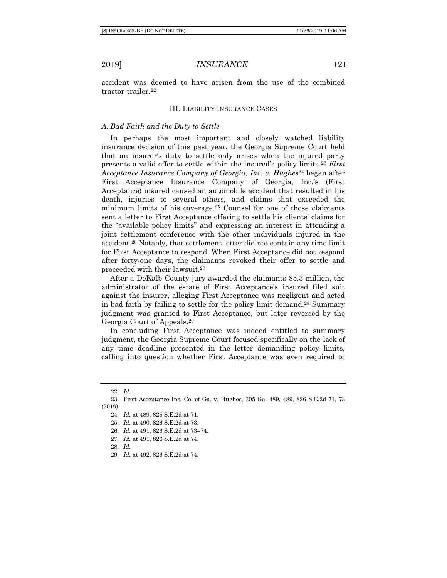accident was deemed to have arisen from the use of the combined tractor-trailer.<sup>22</sup>

#### III. LIABILITY INSURANCE CASES

#### *A. Bad Faith and the Duty to Settle*

In perhaps the most important and closely watched liability insurance decision of this past year, the Georgia Supreme Court held that an insurer's duty to settle only arises when the injured party presents a valid offer to settle within the insured's policy limits.<sup>23</sup> *First Acceptance Insurance Company of Georgia, Inc. v. Hughes*<sup>24</sup> began after First Acceptance Insurance Company of Georgia, Inc.'s (First Acceptance) insured caused an automobile accident that resulted in his death, injuries to several others, and claims that exceeded the minimum limits of his coverage.<sup>25</sup> Counsel for one of those claimants sent a letter to First Acceptance offering to settle his clients' claims for the "available policy limits" and expressing an interest in attending a joint settlement conference with the other individuals injured in the accident.<sup>26</sup> Notably, that settlement letter did not contain any time limit for First Acceptance to respond. When First Acceptance did not respond after forty-one days, the claimants revoked their offer to settle and proceeded with their lawsuit.<sup>27</sup>

After a DeKalb County jury awarded the claimants \$5.3 million, the administrator of the estate of First Acceptance's insured filed suit against the insurer, alleging First Acceptance was negligent and acted in bad faith by failing to settle for the policy limit demand.<sup>28</sup> Summary judgment was granted to First Acceptance, but later reversed by the Georgia Court of Appeals.<sup>29</sup>

In concluding First Acceptance was indeed entitled to summary judgment, the Georgia Supreme Court focused specifically on the lack of any time deadline presented in the letter demanding policy limits, calling into question whether First Acceptance was even required to

- 27*. Id.* at 491, 826 S.E.2d at 74.
- 28*. Id.*

<sup>22</sup>*. Id.*

<sup>23.</sup> First Acceptance Ins. Co. of Ga. v. Hughes, 305 Ga. 489, 489, 826 S.E.2d 71, 73 (2019).

<sup>24</sup>*. Id.* at 489, 826 S.E.2d at 71.

<sup>25</sup>*. Id.* at 490, 826 S.E.2d at 73.

<sup>26</sup>*. Id.* at 491, 826 S.E.2d at 73–74.

<sup>29</sup>*. Id.* at 492, 826 S.E.2d at 74.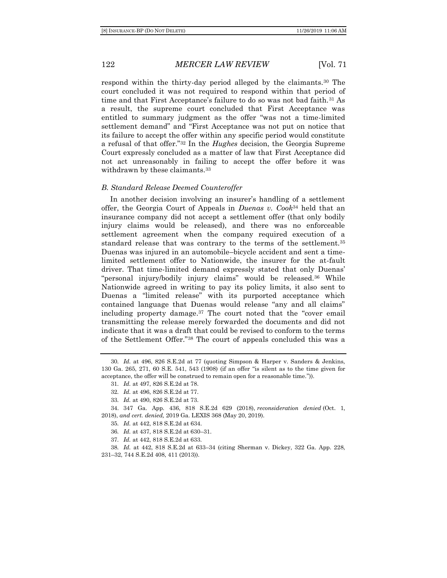respond within the thirty-day period alleged by the claimants.<sup>30</sup> The court concluded it was not required to respond within that period of time and that First Acceptance's failure to do so was not bad faith.<sup>31</sup> As a result, the supreme court concluded that First Acceptance was entitled to summary judgment as the offer "was not a time-limited settlement demand" and "First Acceptance was not put on notice that its failure to accept the offer within any specific period would constitute a refusal of that offer."<sup>32</sup> In the *Hughes* decision, the Georgia Supreme Court expressly concluded as a matter of law that First Acceptance did not act unreasonably in failing to accept the offer before it was withdrawn by these claimants.<sup>33</sup>

#### *B. Standard Release Deemed Counteroffer*

In another decision involving an insurer's handling of a settlement offer, the Georgia Court of Appeals in *Duenas v. Cook*<sup>34</sup> held that an insurance company did not accept a settlement offer (that only bodily injury claims would be released), and there was no enforceable settlement agreement when the company required execution of a standard release that was contrary to the terms of the settlement.<sup>35</sup> Duenas was injured in an automobile–bicycle accident and sent a timelimited settlement offer to Nationwide, the insurer for the at-fault driver. That time-limited demand expressly stated that only Duenas' "personal injury/bodily injury claims" would be released.<sup>36</sup> While Nationwide agreed in writing to pay its policy limits, it also sent to Duenas a "limited release" with its purported acceptance which contained language that Duenas would release "any and all claims" including property damage.<sup>37</sup> The court noted that the "cover email transmitting the release merely forwarded the documents and did not indicate that it was a draft that could be revised to conform to the terms of the Settlement Offer."<sup>38</sup> The court of appeals concluded this was a

37*. Id.* at 442, 818 S.E.2d at 633.

38*. Id.* at 442, 818 S.E.2d at 633–34 (citing Sherman v. Dickey, 322 Ga. App. 228, 231–32, 744 S.E.2d 408, 411 (2013)).

<sup>30</sup>*. Id.* at 496, 826 S.E.2d at 77 (quoting Simpson & Harper v. Sanders & Jenkins, 130 Ga. 265, 271, 60 S.E. 541, 543 (1908) (if an offer "is silent as to the time given for acceptance, the offer will be construed to remain open for a reasonable time.")).

<sup>31</sup>*. Id.* at 497, 826 S.E.2d at 78.

<sup>32</sup>*. Id.* at 496, 826 S.E.2d at 77.

<sup>33</sup>*. Id.* at 490, 826 S.E.2d at 73.

<sup>34.</sup> 347 Ga. App. 436, 818 S.E.2d 629 (2018), *reconsideration denied* (Oct. 1, 2018), *and cert. denied,* 2019 Ga. LEXIS 368 (May 20, 2019).

<sup>35</sup>*. Id.* at 442, 818 S.E.2d at 634.

<sup>36</sup>*. Id.* at 437, 818 S.E.2d at 630–31.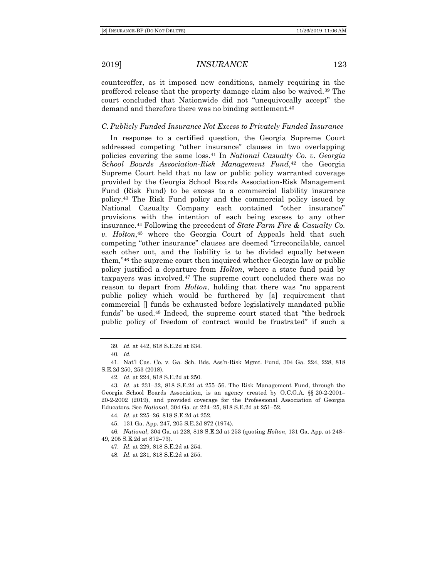counteroffer, as it imposed new conditions, namely requiring in the proffered release that the property damage claim also be waived.<sup>39</sup> The court concluded that Nationwide did not "unequivocally accept" the demand and therefore there was no binding settlement.<sup>40</sup>

#### *C. Publicly Funded Insurance Not Excess to Privately Funded Insurance*

In response to a certified question, the Georgia Supreme Court addressed competing "other insurance" clauses in two overlapping policies covering the same loss.<sup>41</sup> In *National Casualty Co. v. Georgia School Boards Association-Risk Management Fund*, <sup>42</sup> the Georgia Supreme Court held that no law or public policy warranted coverage provided by the Georgia School Boards Association-Risk Management Fund (Risk Fund) to be excess to a commercial liability insurance policy.<sup>43</sup> The Risk Fund policy and the commercial policy issued by National Casualty Company each contained "other insurance" provisions with the intention of each being excess to any other insurance.<sup>44</sup> Following the precedent of *State Farm Fire & Casualty Co. v. Holton*, <sup>45</sup> where the Georgia Court of Appeals held that such competing "other insurance" clauses are deemed "irreconcilable, cancel each other out, and the liability is to be divided equally between them,"<sup>46</sup> the supreme court then inquired whether Georgia law or public policy justified a departure from *Holton*, where a state fund paid by taxpayers was involved.<sup>47</sup> The supreme court concluded there was no reason to depart from *Holton*, holding that there was "no apparent public policy which would be furthered by [a] requirement that commercial [] funds be exhausted before legislatively mandated public funds" be used.<sup>48</sup> Indeed, the supreme court stated that "the bedrock public policy of freedom of contract would be frustrated" if such a

42*. Id.* at 224, 818 S.E.2d at 250.

<sup>39</sup>*. Id.* at 442, 818 S.E.2d at 634.

<sup>40</sup>*. Id.*

<sup>41.</sup> Nat'l Cas. Co. v. Ga. Sch. Bds. Ass'n-Risk Mgmt. Fund, 304 Ga. 224, 228, 818 S.E.2d 250, 253 (2018).

<sup>43</sup>*. Id.* at 231–32, 818 S.E.2d at 255–56. The Risk Management Fund, through the Georgia School Boards Association, is an agency created by O.C.G.A. §§ 20-2-2001– 20-2-2002 (2019), and provided coverage for the Professional Association of Georgia Educators. See *National*, 304 Ga*.* at 224–25, 818 S.E.2d at 251–52.

<sup>44</sup>*. Id.* at 225–26, 818 S.E.2d at 252.

<sup>45.</sup> 131 Ga. App. 247, 205 S.E.2d 872 (1974).

<sup>46</sup>*. National*, 304 Ga. at 228, 818 S.E.2d at 253 (quoting *Holton*, 131 Ga. App. at 248– 49, 205 S.E.2d at 872–73).

<sup>47</sup>*. Id.* at 229, 818 S.E.2d at 254.

<sup>48</sup>*. Id.* at 231, 818 S.E.2d at 255.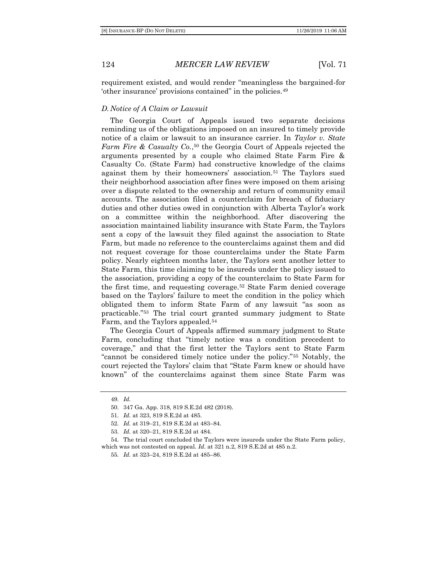requirement existed, and would render "meaningless the bargained-for 'other insurance' provisions contained" in the policies.<sup>49</sup>

#### *D. Notice of A Claim or Lawsuit*

The Georgia Court of Appeals issued two separate decisions reminding us of the obligations imposed on an insured to timely provide notice of a claim or lawsuit to an insurance carrier. In *Taylor v. State Farm Fire & Casualty Co.*, <sup>50</sup> the Georgia Court of Appeals rejected the arguments presented by a couple who claimed State Farm Fire & Casualty Co. (State Farm) had constructive knowledge of the claims against them by their homeowners' association.<sup>51</sup> The Taylors sued their neighborhood association after fines were imposed on them arising over a dispute related to the ownership and return of community email accounts. The association filed a counterclaim for breach of fiduciary duties and other duties owed in conjunction with Alberta Taylor's work on a committee within the neighborhood. After discovering the association maintained liability insurance with State Farm, the Taylors sent a copy of the lawsuit they filed against the association to State Farm, but made no reference to the counterclaims against them and did not request coverage for those counterclaims under the State Farm policy. Nearly eighteen months later, the Taylors sent another letter to State Farm, this time claiming to be insureds under the policy issued to the association, providing a copy of the counterclaim to State Farm for the first time, and requesting coverage.<sup>52</sup> State Farm denied coverage based on the Taylors' failure to meet the condition in the policy which obligated them to inform State Farm of any lawsuit "as soon as practicable."<sup>53</sup> The trial court granted summary judgment to State Farm, and the Taylors appealed.<sup>54</sup>

The Georgia Court of Appeals affirmed summary judgment to State Farm, concluding that "timely notice was a condition precedent to coverage," and that the first letter the Taylors sent to State Farm "cannot be considered timely notice under the policy."<sup>55</sup> Notably, the court rejected the Taylors' claim that "State Farm knew or should have known" of the counterclaims against them since State Farm was

<sup>49</sup>*. Id.*

<sup>50.</sup> 347 Ga. App. 318, 819 S.E.2d 482 (2018).

<sup>51</sup>*. Id.* at 323, 819 S.E.2d at 485.

<sup>52</sup>*. Id.* at 319–21, 819 S.E.2d at 483–84.

<sup>53</sup>*. Id.* at 320–21, 819 S.E.2d at 484.

<sup>54.</sup> The trial court concluded the Taylors were insureds under the State Farm policy, which was not contested on appeal. *Id*. at 321 n.2, 819 S.E.2d at 485 n.2.

<sup>55</sup>*. Id.* at 323–24, 819 S.E.2d at 485–86.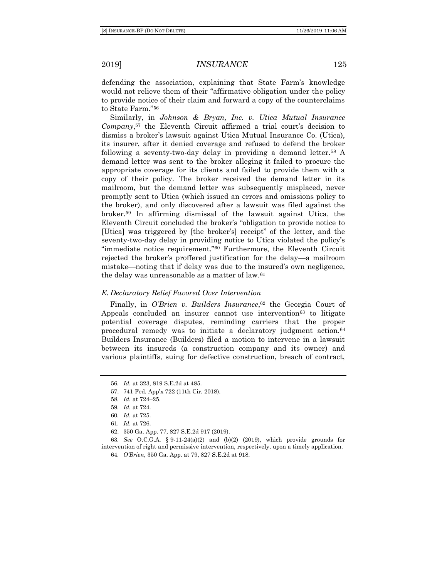defending the association, explaining that State Farm's knowledge would not relieve them of their "affirmative obligation under the policy to provide notice of their claim and forward a copy of the counterclaims to State Farm."<sup>56</sup>

Similarly, in *Johnson & Bryan, Inc. v. Utica Mutual Insurance Company*, <sup>57</sup> the Eleventh Circuit affirmed a trial court's decision to dismiss a broker's lawsuit against Utica Mutual Insurance Co. (Utica), its insurer, after it denied coverage and refused to defend the broker following a seventy-two-day delay in providing a demand letter.<sup>58</sup> A demand letter was sent to the broker alleging it failed to procure the appropriate coverage for its clients and failed to provide them with a copy of their policy. The broker received the demand letter in its mailroom, but the demand letter was subsequently misplaced, never promptly sent to Utica (which issued an errors and omissions policy to the broker), and only discovered after a lawsuit was filed against the broker.<sup>59</sup> In affirming dismissal of the lawsuit against Utica, the Eleventh Circuit concluded the broker's "obligation to provide notice to [Utica] was triggered by [the broker's] receipt" of the letter, and the seventy-two-day delay in providing notice to Utica violated the policy's "immediate notice requirement."<sup>60</sup> Furthermore, the Eleventh Circuit rejected the broker's proffered justification for the delay—a mailroom mistake—noting that if delay was due to the insured's own negligence, the delay was unreasonable as a matter of law.<sup>61</sup>

#### *E. Declaratory Relief Favored Over Intervention*

Finally, in *O'Brien v. Builders Insurance*, <sup>62</sup> the Georgia Court of Appeals concluded an insurer cannot use intervention<sup>63</sup> to litigate potential coverage disputes, reminding carriers that the proper procedural remedy was to initiate a declaratory judgment action.<sup>64</sup> Builders Insurance (Builders) filed a motion to intervene in a lawsuit between its insureds (a construction company and its owner) and various plaintiffs, suing for defective construction, breach of contract,

<sup>56</sup>*. Id.* at 323, 819 S.E.2d at 485.

<sup>57.</sup> 741 Fed. App'x 722 (11th Cir. 2018).

<sup>58</sup>*. Id.* at 724–25.

<sup>59</sup>*. Id.* at 724.

<sup>60</sup>*. Id.* at 725.

<sup>61</sup>*. Id.* at 726.

<sup>62.</sup> 350 Ga. App. 77, 827 S.E.2d 917 (2019).

<sup>63</sup>*. See* O.C.G.A. § 9-11-24(a)(2) and (b)(2) (2019), which provide grounds for intervention of right and permissive intervention, respectively, upon a timely application.

<sup>64</sup>*. O'Brien*, 350 Ga. App. at 79, 827 S.E.2d at 918.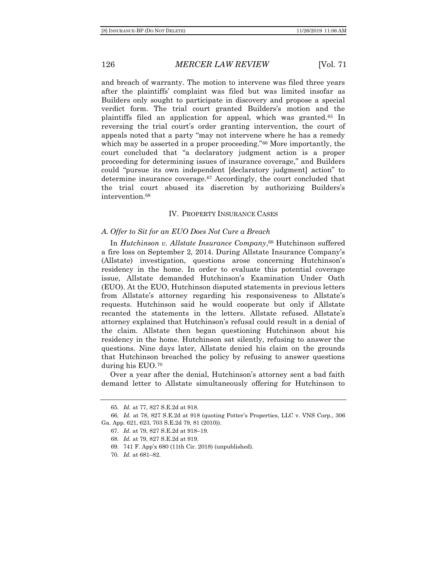and breach of warranty. The motion to intervene was filed three years after the plaintiffs' complaint was filed but was limited insofar as Builders only sought to participate in discovery and propose a special verdict form. The trial court granted Builders's motion and the plaintiffs filed an application for appeal, which was granted.<sup>65</sup> In reversing the trial court's order granting intervention, the court of appeals noted that a party "may not intervene where he has a remedy which may be asserted in a proper proceeding."<sup>66</sup> More importantly, the court concluded that "a declaratory judgment action is a proper proceeding for determining issues of insurance coverage," and Builders could "pursue its own independent [declaratory judgment] action" to determine insurance coverage.<sup>67</sup> Accordingly, the court concluded that the trial court abused its discretion by authorizing Builders's intervention.<sup>68</sup>

#### IV. PROPERTY INSURANCE CASES

#### *A. Offer to Sit for an EUO Does Not Cure a Breach*

In *Hutchinson v. Allstate Insurance Company*, <sup>69</sup> Hutchinson suffered a fire loss on September 2, 2014. During Allstate Insurance Company's (Allstate) investigation, questions arose concerning Hutchinson's residency in the home. In order to evaluate this potential coverage issue, Allstate demanded Hutchinson's Examination Under Oath (EUO). At the EUO, Hutchinson disputed statements in previous letters from Allstate's attorney regarding his responsiveness to Allstate's requests. Hutchinson said he would cooperate but only if Allstate recanted the statements in the letters. Allstate refused. Allstate's attorney explained that Hutchinson's refusal could result in a denial of the claim. Allstate then began questioning Hutchinson about his residency in the home. Hutchinson sat silently, refusing to answer the questions. Nine days later, Allstate denied his claim on the grounds that Hutchinson breached the policy by refusing to answer questions during his EUO.<sup>70</sup>

Over a year after the denial, Hutchinson's attorney sent a bad faith demand letter to Allstate simultaneously offering for Hutchinson to

- 68*. Id.* at 79, 827 S.E.2d at 919.
- 69. 741 F. App'x 680 (11th Cir. 2018) (unpublished).
- 70*. Id.* at 681–82.

<sup>65</sup>*. Id.* at 77, 827 S.E.2d at 918.

<sup>66</sup>*. Id.* at 78, 827 S.E.2d at 918 (quoting Potter's Properties, LLC v. VNS Corp., 306 Ga. App. 621, 623, 703 S.E.2d 79, 81 (2010)).

<sup>67</sup>*. Id.* at 79, 827 S.E.2d at 918–19.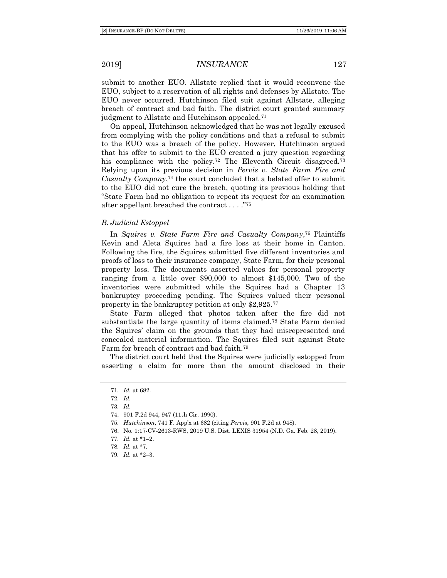submit to another EUO. Allstate replied that it would reconvene the EUO, subject to a reservation of all rights and defenses by Allstate. The EUO never occurred. Hutchinson filed suit against Allstate, alleging breach of contract and bad faith. The district court granted summary judgment to Allstate and Hutchinson appealed.<sup>71</sup>

On appeal, Hutchinson acknowledged that he was not legally excused from complying with the policy conditions and that a refusal to submit to the EUO was a breach of the policy. However, Hutchinson argued that his offer to submit to the EUO created a jury question regarding his compliance with the policy.<sup>72</sup> The Eleventh Circuit disagreed*.* 73 Relying upon its previous decision in *Pervis v. State Farm Fire and Casualty Company*, <sup>74</sup> the court concluded that a belated offer to submit to the EUO did not cure the breach, quoting its previous holding that "State Farm had no obligation to repeat its request for an examination after appellant breached the contract . . . ."<sup>75</sup>

#### *B. Judicial Estoppel*

In *Squires v. State Farm Fire and Casualty Company*, <sup>76</sup> Plaintiffs Kevin and Aleta Squires had a fire loss at their home in Canton. Following the fire, the Squires submitted five different inventories and proofs of loss to their insurance company, State Farm, for their personal property loss. The documents asserted values for personal property ranging from a little over \$90,000 to almost \$145,000. Two of the inventories were submitted while the Squires had a Chapter 13 bankruptcy proceeding pending. The Squires valued their personal property in the bankruptcy petition at only \$2,925.<sup>77</sup>

State Farm alleged that photos taken after the fire did not substantiate the large quantity of items claimed.<sup>78</sup> State Farm denied the Squires' claim on the grounds that they had misrepresented and concealed material information. The Squires filed suit against State Farm for breach of contract and bad faith.<sup>79</sup>

The district court held that the Squires were judicially estopped from asserting a claim for more than the amount disclosed in their

<sup>71</sup>*. Id.* at 682.

<sup>72</sup>*. Id.*

<sup>73</sup>*. Id.*

<sup>74.</sup> 901 F.2d 944, 947 (11th Cir. 1990).

<sup>75</sup>*. Hutchinson*, 741 F. App'x at 682 (citing *Pervis*, 901 F.2d at 948).

<sup>76.</sup> No. 1:17-CV-2613-RWS, 2019 U.S. Dist. LEXIS 31954 (N.D. Ga. Feb. 28, 2019).

<sup>77</sup>*. Id.* at \*1–2.

<sup>78</sup>*. Id.* at \*7.

<sup>79</sup>*. Id.* at \*2–3.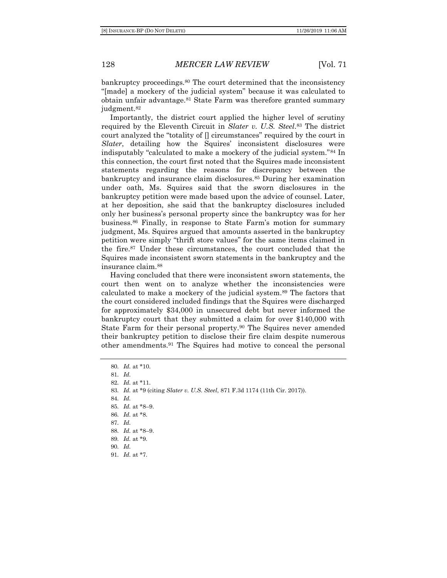bankruptcy proceedings.<sup>80</sup> The court determined that the inconsistency "[made] a mockery of the judicial system" because it was calculated to obtain unfair advantage.<sup>81</sup> State Farm was therefore granted summary judgment.<sup>82</sup>

Importantly, the district court applied the higher level of scrutiny required by the Eleventh Circuit in *Slater v. U.S. Steel*. <sup>83</sup> The district court analyzed the "totality of [] circumstances" required by the court in *Slater*, detailing how the Squires' inconsistent disclosures were indisputably "calculated to make a mockery of the judicial system."<sup>84</sup> In this connection, the court first noted that the Squires made inconsistent statements regarding the reasons for discrepancy between the bankruptcy and insurance claim disclosures.<sup>85</sup> During her examination under oath, Ms. Squires said that the sworn disclosures in the bankruptcy petition were made based upon the advice of counsel. Later, at her deposition, she said that the bankruptcy disclosures included only her business's personal property since the bankruptcy was for her business.<sup>86</sup> Finally, in response to State Farm's motion for summary judgment, Ms. Squires argued that amounts asserted in the bankruptcy petition were simply "thrift store values" for the same items claimed in the fire.<sup>87</sup> Under these circumstances, the court concluded that the Squires made inconsistent sworn statements in the bankruptcy and the insurance claim.<sup>88</sup>

Having concluded that there were inconsistent sworn statements, the court then went on to analyze whether the inconsistencies were calculated to make a mockery of the judicial system.<sup>89</sup> The factors that the court considered included findings that the Squires were discharged for approximately \$34,000 in unsecured debt but never informed the bankruptcy court that they submitted a claim for over \$140,000 with State Farm for their personal property.<sup>90</sup> The Squires never amended their bankruptcy petition to disclose their fire claim despite numerous other amendments.<sup>91</sup> The Squires had motive to conceal the personal

*. Id.* at \*10. 81*. Id. . Id.* at \*11. *. Id.* at \*9 (citing *Slater v. U.S. Steel*, 871 F.3d 1174 (11th Cir. 2017)). 84*. Id. . Id.* at \*8–9. *. Id.* at \*8. 87*. Id. . Id.* at \*8–9. *. Id.* at \*9. 90*. Id. . Id.* at \*7.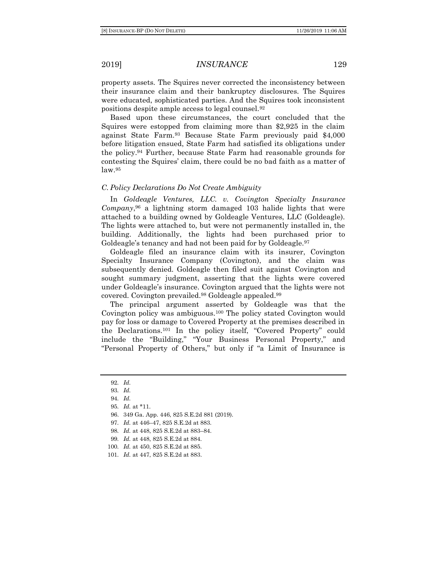property assets. The Squires never corrected the inconsistency between their insurance claim and their bankruptcy disclosures. The Squires were educated, sophisticated parties. And the Squires took inconsistent positions despite ample access to legal counsel.<sup>92</sup>

Based upon these circumstances, the court concluded that the Squires were estopped from claiming more than \$2,925 in the claim against State Farm.<sup>93</sup> Because State Farm previously paid \$4,000 before litigation ensued, State Farm had satisfied its obligations under the policy.<sup>94</sup> Further, because State Farm had reasonable grounds for contesting the Squires' claim, there could be no bad faith as a matter of law.<sup>95</sup>

#### *C. Policy Declarations Do Not Create Ambiguity*

In *Goldeagle Ventures, LLC. v. Covington Specialty Insurance Company*, <sup>96</sup> a lightning storm damaged 103 halide lights that were attached to a building owned by Goldeagle Ventures, LLC (Goldeagle). The lights were attached to, but were not permanently installed in, the building. Additionally, the lights had been purchased prior to Goldeagle's tenancy and had not been paid for by Goldeagle.<sup>97</sup>

Goldeagle filed an insurance claim with its insurer, Covington Specialty Insurance Company (Covington), and the claim was subsequently denied. Goldeagle then filed suit against Covington and sought summary judgment, asserting that the lights were covered under Goldeagle's insurance. Covington argued that the lights were not covered. Covington prevailed.<sup>98</sup> Goldeagle appealed.<sup>99</sup>

The principal argument asserted by Goldeagle was that the Covington policy was ambiguous.<sup>100</sup> The policy stated Covington would pay for loss or damage to Covered Property at the premises described in the Declarations.<sup>101</sup> In the policy itself, "Covered Property" could include the "Building," "Your Business Personal Property," and "Personal Property of Others," but only if "a Limit of Insurance is

96. 349 Ga. App. 446, 825 S.E.2d 881 (2019).

- 99*. Id.* at 448, 825 S.E.2d at 884.
- 100*. Id.* at 450, 825 S.E.2d at 885.

<sup>92</sup>*. Id.*

<sup>93</sup>*. Id.*

<sup>94</sup>*. Id.*

<sup>95</sup>*. Id.* at \*11.

<sup>97</sup>*. Id.* at 446–47, 825 S.E.2d at 883.

<sup>98</sup>*. Id.* at 448, 825 S.E.2d at 883–84.

<sup>101</sup>*. Id.* at 447, 825 S.E.2d at 883.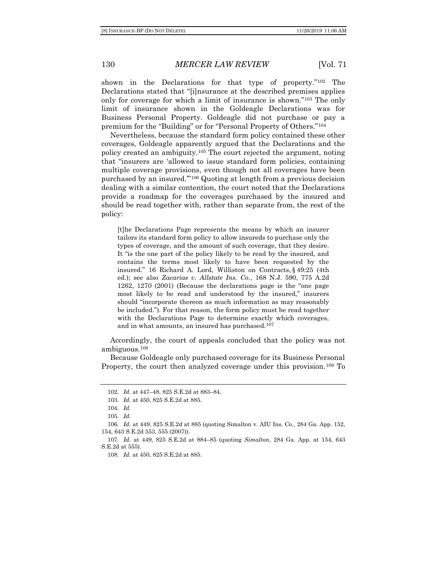shown in the Declarations for that type of property."<sup>102</sup> The Declarations stated that "[i]nsurance at the described premises applies only for coverage for which a limit of insurance is shown."<sup>103</sup> The only limit of insurance shown in the Goldeagle Declarations was for Business Personal Property. Goldeagle did not purchase or pay a premium for the "Building" or for "Personal Property of Others."<sup>104</sup>

Nevertheless, because the standard form policy contained these other coverages, Goldeagle apparently argued that the Declarations and the policy created an ambiguity.<sup>105</sup> The court rejected the argument, noting that "insurers are 'allowed to issue standard form policies, containing multiple coverage provisions, even though not all coverages have been purchased by an insured.'"<sup>106</sup> Quoting at length from a previous decision dealing with a similar contention, the court noted that the Declarations provide a roadmap for the coverages purchased by the insured and should be read together with, rather than separate from, the rest of the policy:

[t]he Declarations Page represents the means by which an insurer tailors its standard form policy to allow insureds to purchase only the types of coverage, and the amount of such coverage, that they desire. It "is the one part of the policy likely to be read by the insured, and contains the terms most likely to have been requested by the insured." 16 Richard A. Lord, Williston on Contracts, § 49:25 (4th ed.); see also *Zacarias v. Allstate Ins. Co.*, 168 N.J. 590, 775 A.2d 1262, 1270 (2001) (Because the declarations page is the "one page most likely to be read and understood by the insured," insurers should "incorporate thereon as much information as may reasonably be included."). For that reason, the form policy must be read together with the Declarations Page to determine exactly which coverages, and in what amounts, an insured has purchased.<sup>107</sup>

Accordingly, the court of appeals concluded that the policy was not ambiguous.<sup>108</sup>

Because Goldeagle only purchased coverage for its Business Personal Property, the court then analyzed coverage under this provision.<sup>109</sup> To

<sup>102</sup>*. Id.* at 447–48, 825 S.E.2d at 883–84.

<sup>103</sup>*. Id.* at 450, 825 S.E.2d at 885.

<sup>104</sup>*. Id.*

<sup>105</sup>*. Id.*

<sup>106</sup>*. Id.* at 449, 825 S.E.2d at 885 (quoting Simalton v. AIU Ins. Co., 284 Ga. App. 152, 154, 643 S.E.2d 553, 555 (2007)).

<sup>107</sup>*. Id.* at 449, 825 S.E.2d at 884–85 (quoting *Simalton*, 284 Ga. App. at 154, 643 S.E.2d at 555).

<sup>108</sup>*. Id.* at 450, 825 S.E.2d at 885.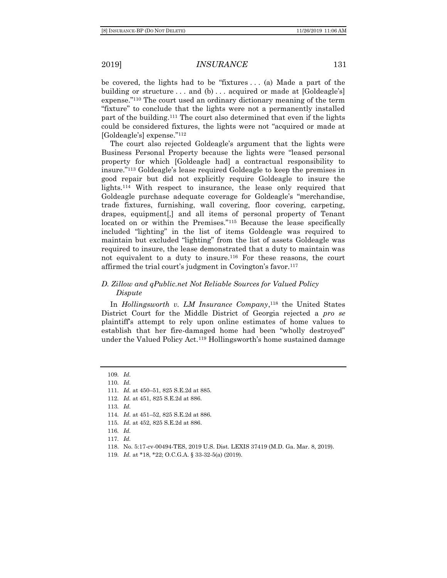be covered, the lights had to be "fixtures . . . (a) Made a part of the building or structure  $\ldots$  and (b)  $\ldots$  acquired or made at [Goldeagle's] expense."<sup>110</sup> The court used an ordinary dictionary meaning of the term "fixture" to conclude that the lights were not a permanently installed part of the building.<sup>111</sup> The court also determined that even if the lights could be considered fixtures, the lights were not "acquired or made at [Goldeagle's] expense."<sup>112</sup>

The court also rejected Goldeagle's argument that the lights were Business Personal Property because the lights were "leased personal property for which [Goldeagle had] a contractual responsibility to insure."<sup>113</sup> Goldeagle's lease required Goldeagle to keep the premises in good repair but did not explicitly require Goldeagle to insure the lights.<sup>114</sup> With respect to insurance, the lease only required that Goldeagle purchase adequate coverage for Goldeagle's "merchandise, trade fixtures, furnishing, wall covering, floor covering, carpeting, drapes, equipment[,] and all items of personal property of Tenant located on or within the Premises."<sup>115</sup> Because the lease specifically included "lighting" in the list of items Goldeagle was required to maintain but excluded "lighting" from the list of assets Goldeagle was required to insure, the lease demonstrated that a duty to maintain was not equivalent to a duty to insure.<sup>116</sup> For these reasons, the court affirmed the trial court's judgment in Covington's favor.<sup>117</sup>

#### *D. Zillow and qPublic.net Not Reliable Sources for Valued Policy Dispute*

In *Hollingsworth v. LM Insurance Company*, <sup>118</sup> the United States District Court for the Middle District of Georgia rejected a *pro se* plaintiff's attempt to rely upon online estimates of home values to establish that her fire-damaged home had been "wholly destroyed" under the Valued Policy Act.<sup>119</sup> Hollingsworth's home sustained damage

119*. Id.* at \*18, \*22; O.C.G.A. § 33-32-5(a) (2019).

<sup>109</sup>*. Id.*

<sup>110</sup>*. Id.*

<sup>111</sup>*. Id.* at 450–51, 825 S.E.2d at 885.

<sup>112</sup>*. Id.* at 451, 825 S.E.2d at 886.

<sup>113</sup>*. Id.*

<sup>114</sup>*. Id.* at 451–52, 825 S.E.2d at 886.

<sup>115</sup>*. Id.* at 452, 825 S.E.2d at 886.

<sup>116</sup>*. Id.*

<sup>117</sup>*. Id.*

<sup>118.</sup> No. 5:17-cv-00494-TES, 2019 U.S. Dist. LEXIS 37419 (M.D. Ga. Mar. 8, 2019).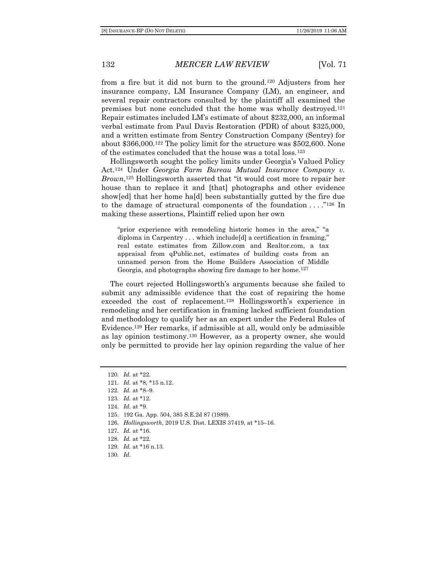from a fire but it did not burn to the ground.<sup>120</sup> Adjusters from her insurance company, LM Insurance Company (LM), an engineer, and several repair contractors consulted by the plaintiff all examined the premises but none concluded that the home was wholly destroyed.<sup>121</sup> Repair estimates included LM's estimate of about \$232,000, an informal verbal estimate from Paul Davis Restoration (PDR) of about \$325,000, and a written estimate from Sentry Construction Company (Sentry) for about \$366,000.<sup>122</sup> The policy limit for the structure was \$502,600. None of the estimates concluded that the house was a total loss.<sup>123</sup>

Hollingsworth sought the policy limits under Georgia's Valued Policy Act.<sup>124</sup> Under *Georgia Farm Bureau Mutual Insurance Company v. Brown*, <sup>125</sup> Hollingsworth asserted that "it would cost more to repair her house than to replace it and [that] photographs and other evidence show[ed] that her home ha[d] been substantially gutted by the fire due to the damage of structural components of the foundation  $\dots$  ."<sup>126</sup> In making these assertions, Plaintiff relied upon her own

"prior experience with remodeling historic homes in the area," "a diploma in Carpentry . . . which include[d] a certification in framing," real estate estimates from Zillow.com and Realtor.com, a tax appraisal from qPublic.net, estimates of building costs from an unnamed person from the Home Builders Association of Middle Georgia, and photographs showing fire damage to her home.<sup>127</sup>

The court rejected Hollingsworth's arguments because she failed to submit any admissible evidence that the cost of repairing the home exceeded the cost of replacement.<sup>128</sup> Hollingsworth's experience in remodeling and her certification in framing lacked sufficient foundation and methodology to qualify her as an expert under the Federal Rules of Evidence.<sup>129</sup> Her remarks, if admissible at all, would only be admissible as lay opinion testimony.<sup>130</sup> However, as a property owner, she would only be permitted to provide her lay opinion regarding the value of her

<sup>120</sup>*. Id.* at \*22. 121*. Id.* at \*8, \*15 n.12. 122*. Id.* at \*8–9. 123*. Id.* at \*12. 124*. Id.* at \*9. 125. 192 Ga. App. 504, 385 S.E.2d 87 (1989). 126*. Hollingsworth*, 2019 U.S. Dist. LEXIS 37419, at \*15–16. 127*. Id.* at \*16. 128*. Id.* at \*22. 129*. Id.* at \*16 n.13. 130*. Id.*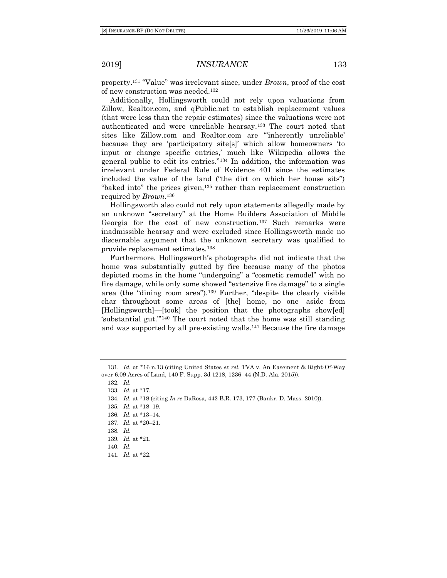property.<sup>131</sup> "Value" was irrelevant since, under *Brown*, proof of the cost of new construction was needed.<sup>132</sup>

Additionally, Hollingsworth could not rely upon valuations from Zillow, Realtor.com, and qPublic.net to establish replacement values (that were less than the repair estimates) since the valuations were not authenticated and were unreliable hearsay.<sup>133</sup> The court noted that sites like Zillow.com and Realtor.com are "'inherently unreliable' because they are 'participatory site[s]' which allow homeowners 'to input or change specific entries,' much like Wikipedia allows the general public to edit its entries."<sup>134</sup> In addition, the information was irrelevant under Federal Rule of Evidence 401 since the estimates included the value of the land ("the dirt on which her house sits") "baked into" the prices given,<sup>135</sup> rather than replacement construction required by *Brown*. 136

Hollingsworth also could not rely upon statements allegedly made by an unknown "secretary" at the Home Builders Association of Middle Georgia for the cost of new construction.<sup>137</sup> Such remarks were inadmissible hearsay and were excluded since Hollingsworth made no discernable argument that the unknown secretary was qualified to provide replacement estimates.<sup>138</sup>

Furthermore, Hollingsworth's photographs did not indicate that the home was substantially gutted by fire because many of the photos depicted rooms in the home "undergoing" a "cosmetic remodel" with no fire damage, while only some showed "extensive fire damage" to a single area (the "dining room area").<sup>139</sup> Further, "despite the clearly visible char throughout some areas of [the] home, no one—aside from [Hollingsworth]—[took] the position that the photographs show[ed] 'substantial gut.'"<sup>140</sup> The court noted that the home was still standing and was supported by all pre-existing walls.<sup>141</sup> Because the fire damage

over 6.09 Acres of Land, 140 F. Supp. 3d 1218, 1236–44 (N.D. Ala. 2015)). 132*. Id.* 133*. Id.* at \*17. 134*. Id.* at \*18 (citing *In re* DaRosa, 442 B.R. 173, 177 (Bankr. D. Mass. 2010)). 135*. Id.* at \*18–19. 136*. Id.* at \*13–14. 137*. Id.* at \*20–21. 138*. Id.* 139*. Id.* at \*21. 140*. Id.*

141*. Id.* at \*22.

<sup>131</sup>*. Id.* at \*16 n.13 (citing United States *ex rel.* TVA v. An Easement & Right-Of-Way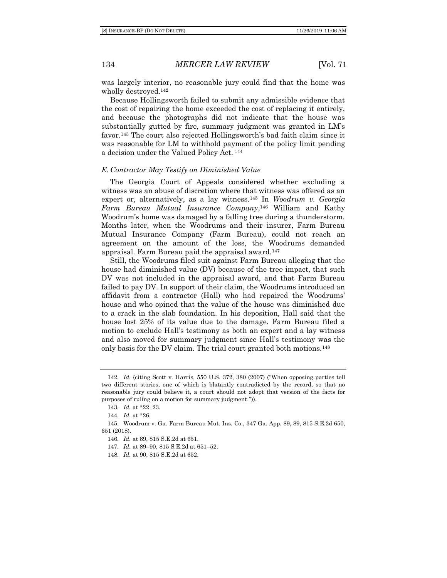was largely interior, no reasonable jury could find that the home was wholly destroyed.<sup>142</sup>

Because Hollingsworth failed to submit any admissible evidence that the cost of repairing the home exceeded the cost of replacing it entirely, and because the photographs did not indicate that the house was substantially gutted by fire, summary judgment was granted in LM's favor.<sup>143</sup> The court also rejected Hollingsworth's bad faith claim since it was reasonable for LM to withhold payment of the policy limit pending a decision under the Valued Policy Act. <sup>144</sup>

#### *E. Contractor May Testify on Diminished Value*

The Georgia Court of Appeals considered whether excluding a witness was an abuse of discretion where that witness was offered as an expert or, alternatively, as a lay witness.<sup>145</sup> In *Woodrum v. Georgia Farm Bureau Mutual Insurance Company*, <sup>146</sup> William and Kathy Woodrum's home was damaged by a falling tree during a thunderstorm. Months later, when the Woodrums and their insurer, Farm Bureau Mutual Insurance Company (Farm Bureau), could not reach an agreement on the amount of the loss, the Woodrums demanded appraisal. Farm Bureau paid the appraisal award.<sup>147</sup>

Still, the Woodrums filed suit against Farm Bureau alleging that the house had diminished value (DV) because of the tree impact, that such DV was not included in the appraisal award, and that Farm Bureau failed to pay DV. In support of their claim, the Woodrums introduced an affidavit from a contractor (Hall) who had repaired the Woodrums' house and who opined that the value of the house was diminished due to a crack in the slab foundation. In his deposition, Hall said that the house lost 25% of its value due to the damage. Farm Bureau filed a motion to exclude Hall's testimony as both an expert and a lay witness and also moved for summary judgment since Hall's testimony was the only basis for the DV claim. The trial court granted both motions.<sup>148</sup>

<sup>142</sup>*. Id.* (citing Scott v. Harris, 550 U.S. 372, 380 (2007) ("When opposing parties tell two different stories, one of which is blatantly contradicted by the record, so that no reasonable jury could believe it, a court should not adopt that version of the facts for purposes of ruling on a motion for summary judgment.")).

<sup>143</sup>*. Id.* at \*22–23.

<sup>144</sup>*. Id.* at \*26.

<sup>145.</sup> Woodrum v. Ga. Farm Bureau Mut. Ins. Co., 347 Ga. App. 89, 89, 815 S.E.2d 650, 651 (2018).

<sup>146</sup>*. Id.* at 89, 815 S.E.2d at 651.

<sup>147</sup>*. Id.* at 89–90, 815 S.E.2d at 651–52.

<sup>148</sup>*. Id.* at 90, 815 S.E.2d at 652.